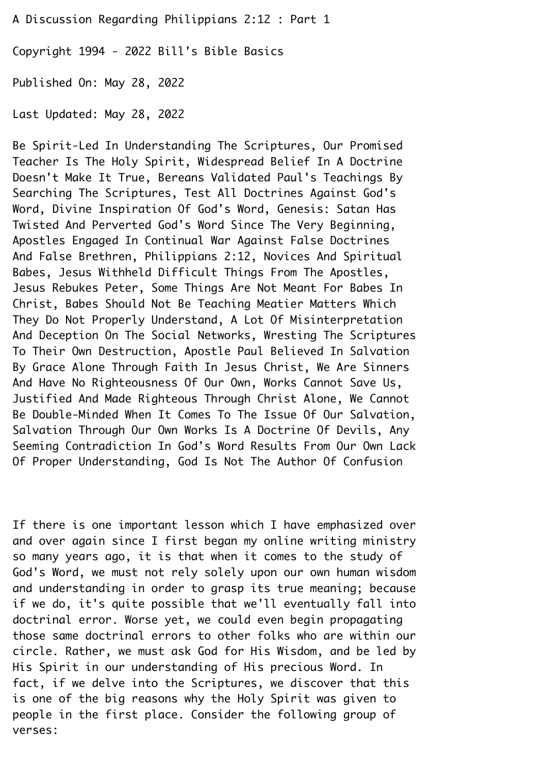A Discussion Regarding Philippians 2:12 : Part 1¬

Copyright 1994 - 2022 Bill's Bible Basics¬

Published On: May 28, 2022¬

Last Updated: May 28, 2022¬

Be Spirit-Led In Understanding The Scriptures, Our Promised¬ Teacher Is The Holy Spirit, Widespread Belief In A Doctrine¬ Doesn't Make It True, Bereans Validated Paul's Teachings By¬ Searching The Scriptures, Test All Doctrines Against God's¬ Word, Divine Inspiration Of God's Word, Genesis: Satan Has¬ Twisted And Perverted God's Word Since The Very Beginning,¬ Apostles Engaged In Continual War Against False Doctrines¬ And False Brethren, Philippians 2:12, Novices And Spiritual¬ Babes, Jesus Withheld Difficult Things From The Apostles,¬ Jesus Rebukes Peter, Some Things Are Not Meant For Babes In¬ Christ, Babes Should Not Be Teaching Meatier Matters Which¬ They Do Not Properly Understand, A Lot Of Misinterpretation¬ And Deception On The Social Networks, Wresting The Scriptures¬ To Their Own Destruction, Apostle Paul Believed In Salvation¬ By Grace Alone Through Faith In Jesus Christ, We Are Sinners¬ And Have No Righteousness Of Our Own, Works Cannot Save Us,¬ Justified And Made Righteous Through Christ Alone, We Cannot¬ Be Double-Minded When It Comes To The Issue Of Our Salvation,¬ Salvation Through Our Own Works Is A Doctrine Of Devils, Any¬ Seeming Contradiction In God's Word Results From Our Own Lack¬ Of Proper Understanding, God Is Not The Author Of Confusion¬

If there is one important lesson which I have emphasized over and over again since I first began my online writing ministry so many years ago, it is that when it comes to the study of¬ God's Word, we must not rely solely upon our own human wisdom and understanding in order to grasp its true meaning; because if we do, it's quite possible that we'll eventually fall into doctrinal error. Worse yet, we could even begin propagating those same doctrinal errors to other folks who are within our circle. Rather, we must ask God for His Wisdom, and be led by¬ His Spirit in our understanding of His precious Word. In fact, if we delve into the Scriptures, we discover that this is one of the big reasons why the Holy Spirit was given to people in the first place. Consider the following group of verses: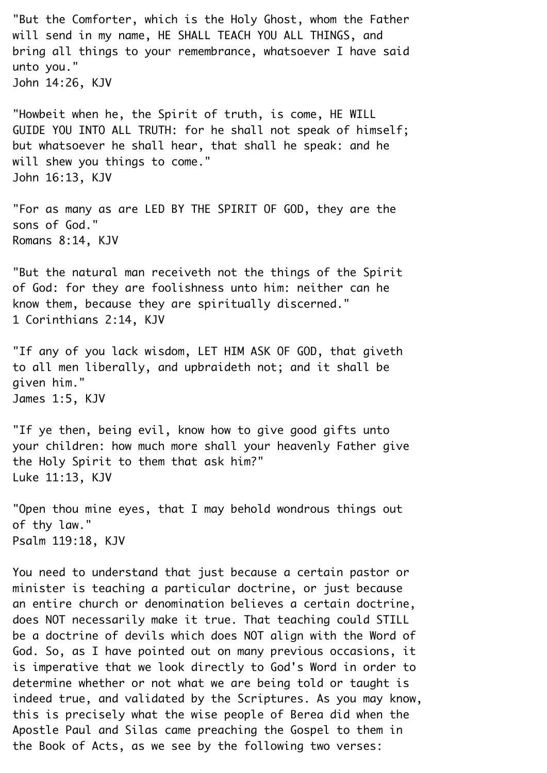"But the Comforter, which is the Holy Ghost, whom the Father will send in my name, HE SHALL TEACH YOU ALL THINGS, and bring all things to your remembrance, whatsoever I have said unto you." John 14:26, KJV¬ "Howbeit when he, the Spirit of truth, is come, HE WILL¬ GUIDE YOU INTO ALL TRUTH: for he shall not speak of himself;¬

but whatsoever he shall hear, that shall he speak: and he will shew you things to come." John 16:13, KJV¬

"For as many as are LED BY THE SPIRIT OF GOD, they are the sons of God." Romans 8:14, KJV¬

"But the natural man receiveth not the things of the Spirit of God: for they are foolishness unto him: neither can he know them, because they are spiritually discerned." 1 Corinthians 2:14, KJV¬

"If any of you lack wisdom, LET HIM ASK OF GOD, that giveth to all men liberally, and upbraideth not; and it shall be given him."¬ James 1:5, KJV¬

"If ye then, being evil, know how to give good gifts unto your children: how much more shall your heavenly Father give the Holy Spirit to them that ask him?"¬ Luke 11:13, KJV¬

"Open thou mine eyes, that I may behold wondrous things out of thy law." Psalm 119:18, KJV¬

You need to understand that just because a certain pastor or minister is teaching a particular doctrine, or just because an entire church or denomination believes a certain doctrine, does NOT necessarily make it true. That teaching could STILL be a doctrine of devils which does NOT align with the Word of¬ God. So, as I have pointed out on many previous occasions, it is imperative that we look directly to God's Word in order to determine whether or not what we are being told or taught is indeed true, and validated by the Scriptures. As you may know, this is precisely what the wise people of Berea did when the¬ Apostle Paul and Silas came preaching the Gospel to them in the Book of Acts, as we see by the following two verses:¬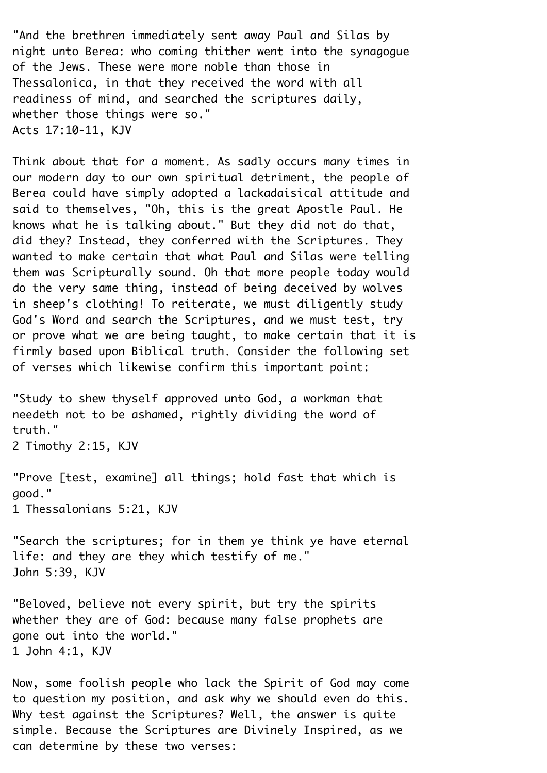"And the brethren immediately sent away Paul and Silas by night unto Berea: who coming thither went into the synagogue of the Jews. These were more noble than those in¬ Thessalonica, in that they received the word with all readiness of mind, and searched the scriptures daily, whether those things were so." Acts 17:10-11, KJV¬

Think about that for a moment. As sadly occurs many times in our modern day to our own spiritual detriment, the people of Berea could have simply adopted a lackadaisical attitude and said to themselves, "Oh, this is the great Apostle Paul. He knows what he is talking about." But they did not do that, did they? Instead, they conferred with the Scriptures. They wanted to make certain that what Paul and Silas were telling them was Scripturally sound. Oh that more people today would do the very same thing, instead of being deceived by wolves in sheep's clothing! To reiterate, we must diligently study¬ God's Word and search the Scriptures, and we must test, try or prove what we are being taught, to make certain that it is firmly based upon Biblical truth. Consider the following set of verses which likewise confirm this important point:¬

"Study to shew thyself approved unto God, a workman that needeth not to be ashamed, rightly dividing the word of truth."¬

2 Timothy 2:15, KJV¬

"Prove [test, examine] all things; hold fast that which is good."¬

1 Thessalonians 5:21, KJV¬

"Search the scriptures; for in them ye think ye have eternal life: and they are they which testify of me."¬ John 5:39, KJV¬

"Beloved, believe not every spirit, but try the spirits whether they are of God: because many false prophets are gone out into the world."¬ 1 John 4:1, KJV¬

Now, some foolish people who lack the Spirit of God may come to question my position, and ask why we should even do this.¬ Why test against the Scriptures? Well, the answer is quite simple. Because the Scriptures are Divinely Inspired, as we can determine by these two verses: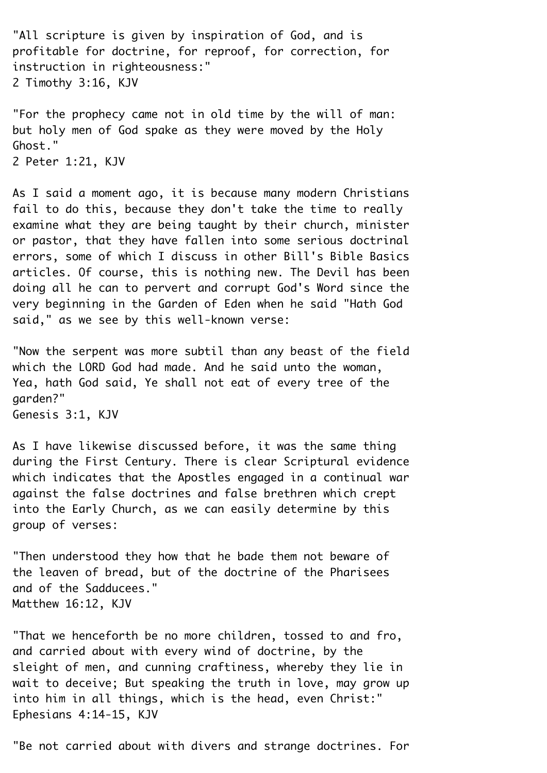"All scripture is given by inspiration of God, and is profitable for doctrine, for reproof, for correction, for instruction in righteousness:"¬ 2 Timothy 3:16, KJV¬

"For the prophecy came not in old time by the will of man: but holy men of God spake as they were moved by the Holy¬ Ghost."¬ 2 Peter 1:21, KJV¬

As I said a moment ago, it is because many modern Christians fail to do this, because they don't take the time to really examine what they are being taught by their church, minister or pastor, that they have fallen into some serious doctrinal errors, some of which I discuss in other Bill's Bible Basics articles. Of course, this is nothing new. The Devil has been doing all he can to pervert and corrupt God's Word since the very beginning in the Garden of Eden when he said "Hath God said," as we see by this well-known verse:

"Now the serpent was more subtil than any beast of the field which the LORD God had made. And he said unto the woman, Yea, hath God said, Ye shall not eat of every tree of the garden?"¬ Genesis 3:1, KJV¬

As I have likewise discussed before, it was the same thing during the First Century. There is clear Scriptural evidence which indicates that the Apostles engaged in a continual war against the false doctrines and false brethren which crept into the Early Church, as we can easily determine by this group of verses:¬

"Then understood they how that he bade them not beware of the leaven of bread, but of the doctrine of the Pharisees and of the Sadducees." Matthew 16:12, KJV¬

"That we henceforth be no more children, tossed to and fro, and carried about with every wind of doctrine, by the sleight of men, and cunning craftiness, whereby they lie in wait to deceive; But speaking the truth in love, may grow up into him in all things, which is the head, even Christ:" Ephesians 4:14-15, KJV¬

"Be not carried about with divers and strange doctrines. For¬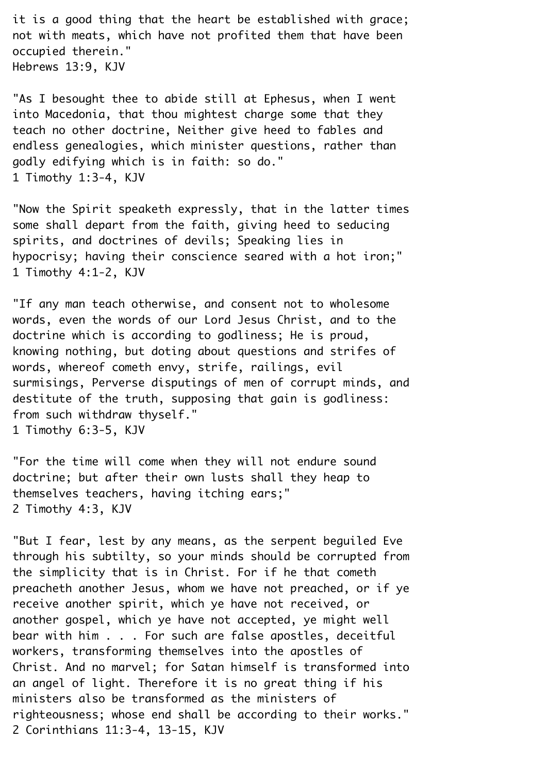it is a good thing that the heart be established with grace; not with meats, which have not profited them that have been occupied therein."¬ Hebrews 13:9, KJV¬

"As I besought thee to abide still at Ephesus, when I went into Macedonia, that thou mightest charge some that they teach no other doctrine, Neither give heed to fables and endless genealogies, which minister questions, rather than godly edifying which is in faith: so do."¬ 1 Timothy 1:3-4, KJV¬

"Now the Spirit speaketh expressly, that in the latter times some shall depart from the faith, giving heed to seducing spirits, and doctrines of devils; Speaking lies in hypocrisy; having their conscience seared with a hot iron;" 1 Timothy 4:1-2, KJV¬

"If any man teach otherwise, and consent not to wholesome words, even the words of our Lord Jesus Christ, and to the doctrine which is according to godliness; He is proud, knowing nothing, but doting about questions and strifes of words, whereof cometh envy, strife, railings, evil surmisings, Perverse disputings of men of corrupt minds, and destitute of the truth, supposing that gain is godliness: from such withdraw thyself." 1 Timothy 6:3-5, KJV¬

"For the time will come when they will not endure sound doctrine; but after their own lusts shall they heap to themselves teachers, having itching ears;"¬ 2 Timothy 4:3, KJV¬

"But I fear, lest by any means, as the serpent beguiled Eve through his subtilty, so your minds should be corrupted from the simplicity that is in Christ. For if he that cometh preacheth another Jesus, whom we have not preached, or if ye receive another spirit, which ye have not received, or another gospel, which ye have not accepted, ye might well bear with him . . . For such are false apostles, deceitful workers, transforming themselves into the apostles of¬ Christ. And no marvel; for Satan himself is transformed into an angel of light. Therefore it is no great thing if his ministers also be transformed as the ministers of righteousness; whose end shall be according to their works."¬ 2 Corinthians 11:3-4, 13-15, KJV¬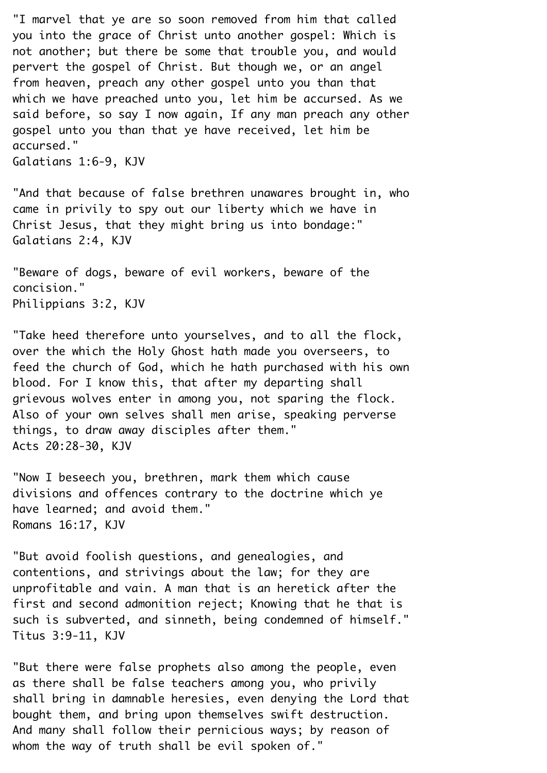"I marvel that ye are so soon removed from him that called you into the grace of Christ unto another gospel: Which is not another; but there be some that trouble you, and would pervert the gospel of Christ. But though we, or an angel from heaven, preach any other gospel unto you than that which we have preached unto you, let him be accursed. As we said before, so say I now again, If any man preach any other gospel unto you than that ye have received, let him be accursed."¬ Galatians 1:6-9, KJV¬

"And that because of false brethren unawares brought in, who came in privily to spy out our liberty which we have in¬ Christ Jesus, that they might bring us into bondage:" Galatians 2:4, KJV¬

"Beware of dogs, beware of evil workers, beware of the concision."¬ Philippians 3:2, KJV¬

"Take heed therefore unto yourselves, and to all the flock, over the which the Holy Ghost hath made you overseers, to feed the church of God, which he hath purchased with his own blood. For I know this, that after my departing shall grievous wolves enter in among you, not sparing the flock.¬ Also of your own selves shall men arise, speaking perverse things, to draw away disciples after them."¬ Acts 20:28-30, KJV¬

"Now I beseech you, brethren, mark them which cause divisions and offences contrary to the doctrine which ye have learned; and avoid them." Romans 16:17, KJV¬

"But avoid foolish questions, and genealogies, and contentions, and strivings about the law; for they are unprofitable and vain. A man that is an heretick after the first and second admonition reject; Knowing that he that is such is subverted, and sinneth, being condemned of himself." Titus 3:9-11, KJV¬

"But there were false prophets also among the people, even as there shall be false teachers among you, who privily shall bring in damnable heresies, even denying the Lord that bought them, and bring upon themselves swift destruction.¬ And many shall follow their pernicious ways; by reason of whom the way of truth shall be evil spoken of."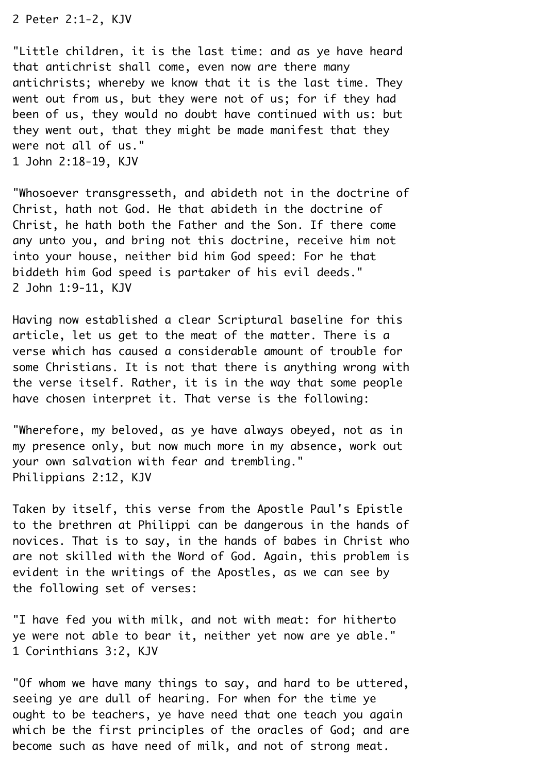2 Peter 2:1-2, KJV¬

"Little children, it is the last time: and as ye have heard that antichrist shall come, even now are there many antichrists; whereby we know that it is the last time. They went out from us, but they were not of us; for if they had been of us, they would no doubt have continued with us: but they went out, that they might be made manifest that they were not all of us." 1 John 2:18-19, KJV¬

"Whosoever transgresseth, and abideth not in the doctrine of¬ Christ, hath not God. He that abideth in the doctrine of¬ Christ, he hath both the Father and the Son. If there come any unto you, and bring not this doctrine, receive him not into your house, neither bid him God speed: For he that biddeth him God speed is partaker of his evil deeds."¬ 2 John 1:9-11, KJV¬

Having now established a clear Scriptural baseline for this article, let us get to the meat of the matter. There is a verse which has caused a considerable amount of trouble for some Christians. It is not that there is anything wrong with the verse itself. Rather, it is in the way that some people have chosen interpret it. That verse is the following:

"Wherefore, my beloved, as ye have always obeyed, not as in my presence only, but now much more in my absence, work out your own salvation with fear and trembling."¬ Philippians 2:12, KJV¬

Taken by itself, this verse from the Apostle Paul's Epistle to the brethren at Philippi can be dangerous in the hands of novices. That is to say, in the hands of babes in Christ who are not skilled with the Word of God. Again, this problem is evident in the writings of the Apostles, as we can see by the following set of verses:¬

"I have fed you with milk, and not with meat: for hitherto ye were not able to bear it, neither yet now are ye able."¬ 1 Corinthians 3:2, KJV¬

"Of whom we have many things to say, and hard to be uttered, seeing ye are dull of hearing. For when for the time ye ought to be teachers, ye have need that one teach you again which be the first principles of the oracles of God; and are become such as have need of milk, and not of strong meat.¬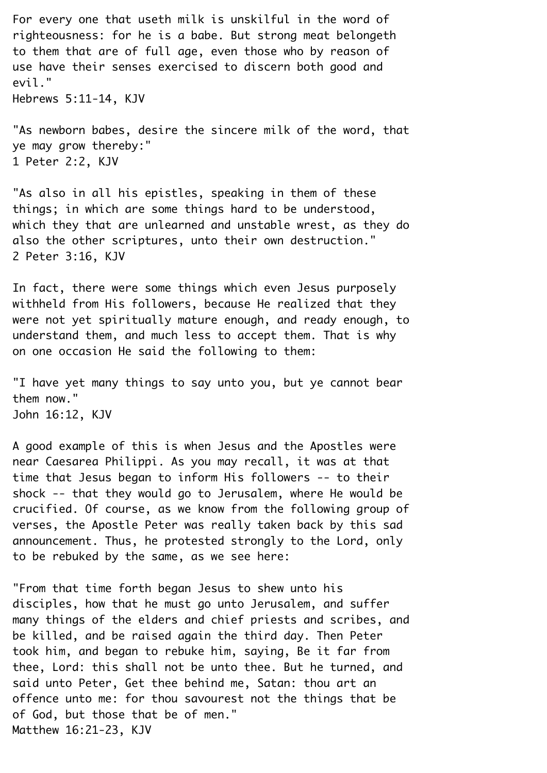For every one that useth milk is unskilful in the word of righteousness: for he is a babe. But strong meat belongeth to them that are of full age, even those who by reason of use have their senses exercised to discern both good and evil."¬

Hebrews 5:11-14, KJV¬

"As newborn babes, desire the sincere milk of the word, that ye may grow thereby:" 1 Peter 2:2, KJV¬

"As also in all his epistles, speaking in them of these things; in which are some things hard to be understood, which they that are unlearned and unstable wrest, as they do also the other scriptures, unto their own destruction." 2 Peter 3:16, KJV¬

In fact, there were some things which even Jesus purposely withheld from His followers, because He realized that they were not yet spiritually mature enough, and ready enough, to understand them, and much less to accept them. That is why on one occasion He said the following to them:

"I have yet many things to say unto you, but ye cannot bear them now."¬ John 16:12, KJV¬

A good example of this is when Jesus and the Apostles were near Caesarea Philippi. As you may recall, it was at that time that Jesus began to inform His followers -- to their shock -- that they would go to Jerusalem, where He would be crucified. Of course, as we know from the following group of verses, the Apostle Peter was really taken back by this sad announcement. Thus, he protested strongly to the Lord, only to be rebuked by the same, as we see here:¬

"From that time forth began Jesus to shew unto his disciples, how that he must go unto Jerusalem, and suffer many things of the elders and chief priests and scribes, and be killed, and be raised again the third day. Then Peter took him, and began to rebuke him, saying, Be it far from thee, Lord: this shall not be unto thee. But he turned, and said unto Peter, Get thee behind me, Satan: thou art an offence unto me: for thou savourest not the things that be of God, but those that be of men." Matthew 16:21-23, KJV¬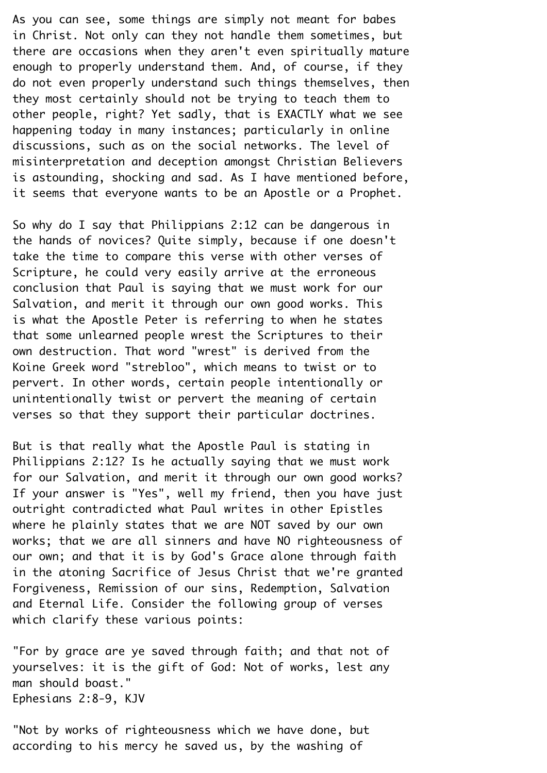As you can see, some things are simply not meant for babes in Christ. Not only can they not handle them sometimes, but there are occasions when they aren't even spiritually mature enough to properly understand them. And, of course, if they do not even properly understand such things themselves, then they most certainly should not be trying to teach them to other people, right? Yet sadly, that is EXACTLY what we see happening today in many instances; particularly in online discussions, such as on the social networks. The level of misinterpretation and deception amongst Christian Believers is astounding, shocking and sad. As I have mentioned before, it seems that everyone wants to be an Apostle or a Prophet.

So why do I say that Philippians 2:12 can be dangerous in the hands of novices? Quite simply, because if one doesn't take the time to compare this verse with other verses of¬ Scripture, he could very easily arrive at the erroneous conclusion that Paul is saying that we must work for our¬ Salvation, and merit it through our own good works. This is what the Apostle Peter is referring to when he states that some unlearned people wrest the Scriptures to their own destruction. That word "wrest" is derived from the Koine Greek word "strebloo", which means to twist or to pervert. In other words, certain people intentionally or unintentionally twist or pervert the meaning of certain verses so that they support their particular doctrines.¬

But is that really what the Apostle Paul is stating in¬ Philippians 2:12? Is he actually saying that we must work for our Salvation, and merit it through our own good works? If your answer is "Yes", well my friend, then you have just outright contradicted what Paul writes in other Epistles where he plainly states that we are NOT saved by our own works; that we are all sinners and have NO righteousness of our own; and that it is by God's Grace alone through faith in the atoning Sacrifice of Jesus Christ that we're granted¬ Forgiveness, Remission of our sins, Redemption, Salvation and Eternal Life. Consider the following group of verses which clarify these various points:

"For by grace are ye saved through faith; and that not of yourselves: it is the gift of God: Not of works, lest any man should boast."¬ Ephesians 2:8-9, KJV¬

"Not by works of righteousness which we have done, but according to his mercy he saved us, by the washing of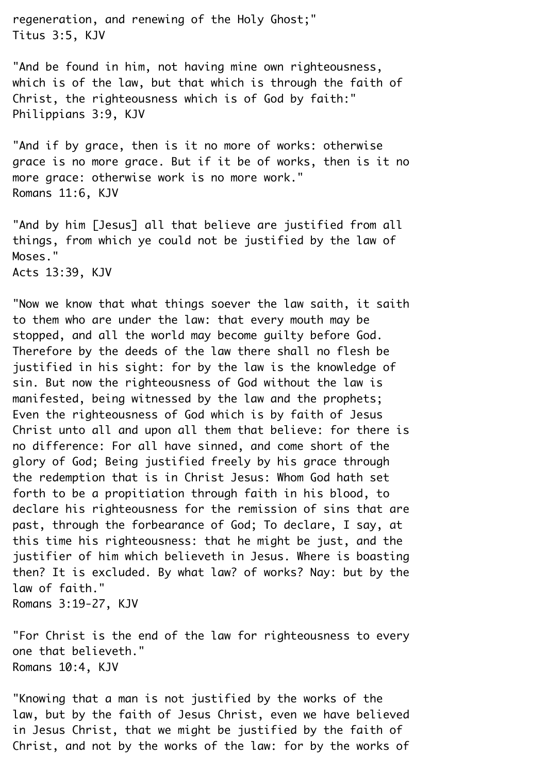regeneration, and renewing of the Holy Ghost;" Titus 3:5, KJV¬

"And be found in him, not having mine own righteousness, which is of the law, but that which is through the faith of Christ, the righteousness which is of God by faith:" Philippians 3:9, KJV¬

"And if by grace, then is it no more of works: otherwise grace is no more grace. But if it be of works, then is it no more grace: otherwise work is no more work." Romans 11:6, KJV¬

"And by him [Jesus] all that believe are justified from all things, from which ye could not be justified by the law of¬ Moses." Acts 13:39, KJV¬

"Now we know that what things soever the law saith, it saith to them who are under the law: that every mouth may be stopped, and all the world may become quilty before God. Therefore by the deeds of the law there shall no flesh be justified in his sight: for by the law is the knowledge of sin. But now the righteousness of God without the law is manifested, being witnessed by the law and the prophets; Even the righteousness of God which is by faith of Jesus¬ Christ unto all and upon all them that believe: for there is no difference: For all have sinned, and come short of the glory of God; Being justified freely by his grace through the redemption that is in Christ Jesus: Whom God hath set forth to be a propitiation through faith in his blood, to declare his righteousness for the remission of sins that are past, through the forbearance of God; To declare, I say, at this time his righteousness: that he might be just, and the justifier of him which believeth in Jesus. Where is boasting then? It is excluded. By what law? of works? Nay: but by the law of faith."

Romans 3:19-27, KJV¬

"For Christ is the end of the law for righteousness to every one that believeth."¬ Romans 10:4, KJV¬

"Knowing that a man is not justified by the works of the law, but by the faith of Jesus Christ, even we have believed in Jesus Christ, that we might be justified by the faith of¬ Christ, and not by the works of the law: for by the works of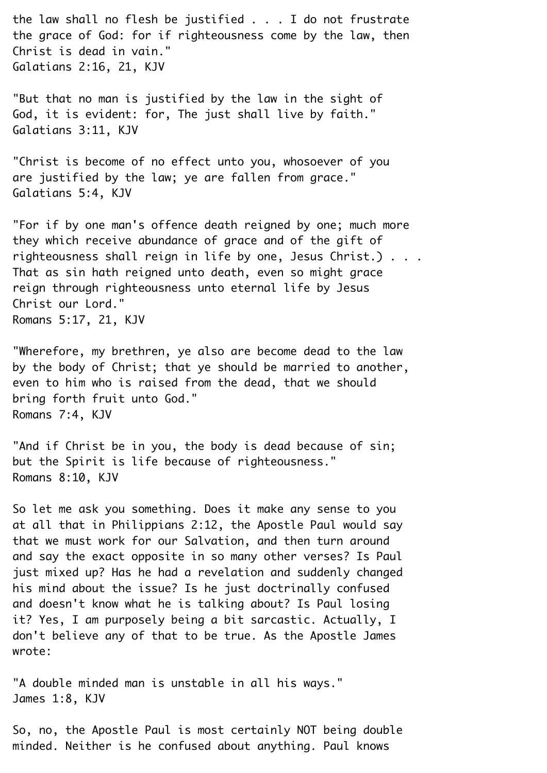the law shall no flesh be justified . . . I do not frustrate the grace of God: for if righteousness come by the law, then¬ Christ is dead in vain."¬ Galatians 2:16, 21, KJV¬

"But that no man is justified by the law in the sight of¬ God, it is evident: for, The just shall live by faith." Galatians 3:11, KJV¬

"Christ is become of no effect unto you, whosoever of you are justified by the law; ye are fallen from grace." Galatians 5:4, KJV¬

"For if by one man's offence death reigned by one; much more they which receive abundance of grace and of the gift of righteousness shall reign in life by one, Jesus Christ.)  $\ldots$ That as sin hath reigned unto death, even so might grace reign through righteousness unto eternal life by Jesus Christ our Lord."¬ Romans 5:17, 21, KJV¬

"Wherefore, my brethren, ye also are become dead to the law by the body of Christ; that ye should be married to another, even to him who is raised from the dead, that we should bring forth fruit unto God."¬ Romans 7:4, KJV¬

"And if Christ be in you, the body is dead because of sin; but the Spirit is life because of righteousness." Romans 8:10, KJV¬

So let me ask you something. Does it make any sense to you at all that in Philippians 2:12, the Apostle Paul would say that we must work for our Salvation, and then turn around and say the exact opposite in so many other verses? Is Paul just mixed up? Has he had a revelation and suddenly changed his mind about the issue? Is he just doctrinally confused and doesn't know what he is talking about? Is Paul losing it? Yes, I am purposely being a bit sarcastic. Actually, I don't believe any of that to be true. As the Apostle James wrote:

"A double minded man is unstable in all his ways." James 1:8, KJV¬

So, no, the Apostle Paul is most certainly NOT being double minded. Neither is he confused about anything. Paul knows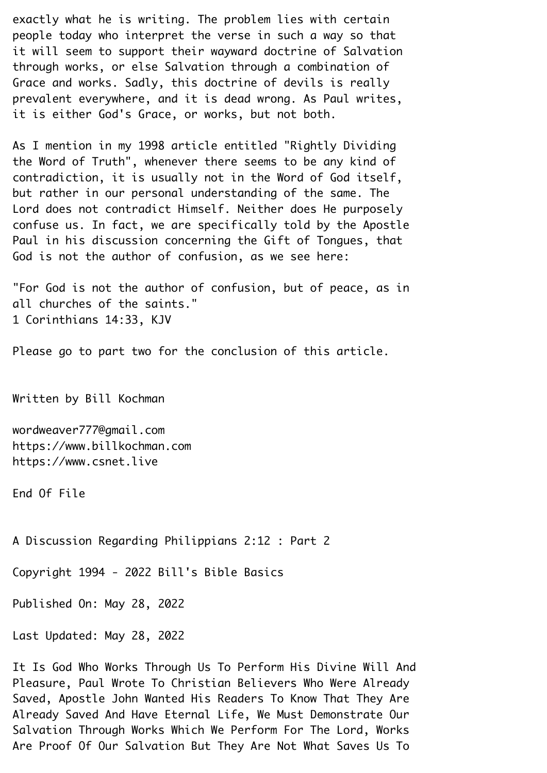exactly what he is writing. The problem lies with certain people today who interpret the verse in such a way so that it will seem to support their wayward doctrine of Salvation through works, or else Salvation through a combination of¬ Grace and works. Sadly, this doctrine of devils is really prevalent everywhere, and it is dead wrong. As Paul writes, it is either God's Grace, or works, but not both.

As I mention in my 1998 article entitled "Rightly Dividing the Word of Truth", whenever there seems to be any kind of contradiction, it is usually not in the Word of God itself, but rather in our personal understanding of the same. The¬ Lord does not contradict Himself. Neither does He purposely confuse us. In fact, we are specifically told by the Apostle¬ Paul in his discussion concerning the Gift of Tongues, that¬ God is not the author of confusion, as we see here:

"For God is not the author of confusion, but of peace, as in all churches of the saints." 1 Corinthians 14:33, KJV¬

Please go to part two for the conclusion of this article.

Written by Bill Kochman¬

wordweaver777@gmail.com https://www.billkochman.com https://www.csnet.live¬

End Of File¬

A Discussion Regarding Philippians 2:12 : Part 2¬

Copyright 1994 - 2022 Bill's Bible Basics¬

Published On: May 28, 2022¬

Last Updated: May 28, 2022¬

It Is God Who Works Through Us To Perform His Divine Will And¬ Pleasure, Paul Wrote To Christian Believers Who Were Already¬ Saved, Apostle John Wanted His Readers To Know That They Are¬ Already Saved And Have Eternal Life, We Must Demonstrate Our¬ Salvation Through Works Which We Perform For The Lord, Works¬ Are Proof Of Our Salvation But They Are Not What Saves Us To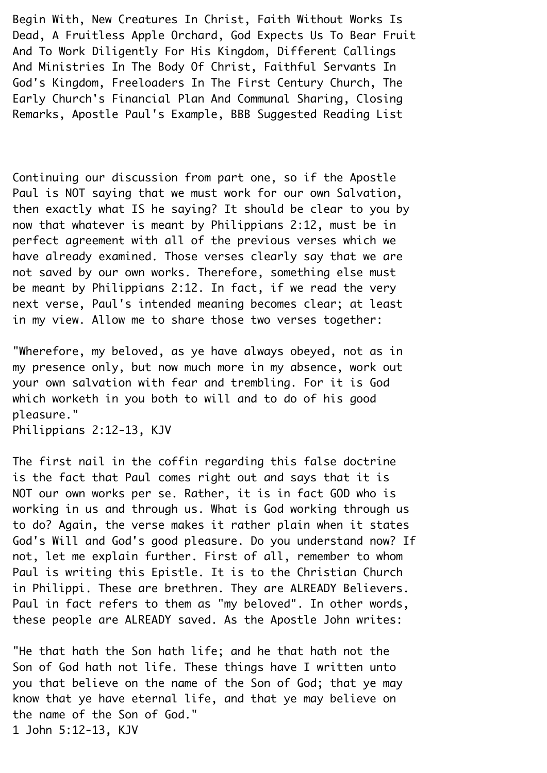Begin With, New Creatures In Christ, Faith Without Works Is¬ Dead, A Fruitless Apple Orchard, God Expects Us To Bear Fruit¬ And To Work Diligently For His Kingdom, Different Callings¬ And Ministries In The Body Of Christ, Faithful Servants In¬ God's Kingdom, Freeloaders In The First Century Church, The¬ Early Church's Financial Plan And Communal Sharing, Closing¬ Remarks, Apostle Paul's Example, BBB Suggested Reading List¬

Continuing our discussion from part one, so if the Apostle¬ Paul is NOT saying that we must work for our own Salvation, then exactly what IS he saying? It should be clear to you by now that whatever is meant by Philippians 2:12, must be in perfect agreement with all of the previous verses which we have already examined. Those verses clearly say that we are not saved by our own works. Therefore, something else must be meant by Philippians 2:12. In fact, if we read the very next verse, Paul's intended meaning becomes clear; at least in my view. Allow me to share those two verses together:

"Wherefore, my beloved, as ye have always obeyed, not as in my presence only, but now much more in my absence, work out your own salvation with fear and trembling. For it is God which worketh in you both to will and to do of his good pleasure."¬

Philippians 2:12-13, KJV¬

The first nail in the coffin regarding this false doctrine is the fact that Paul comes right out and says that it is¬ NOT our own works per se. Rather, it is in fact GOD who is working in us and through us. What is God working through us to do? Again, the verse makes it rather plain when it states¬ God's Will and God's good pleasure. Do you understand now? If not, let me explain further. First of all, remember to whom Paul is writing this Epistle. It is to the Christian Church in Philippi. These are brethren. They are ALREADY Believers. Paul in fact refers to them as "my beloved". In other words, these people are ALREADY saved. As the Apostle John writes:¬

"He that hath the Son hath life; and he that hath not the¬ Son of God hath not life. These things have I written unto you that believe on the name of the Son of God; that ye may know that ye have eternal life, and that ye may believe on the name of the Son of God."¬ 1 John 5:12-13, KJV¬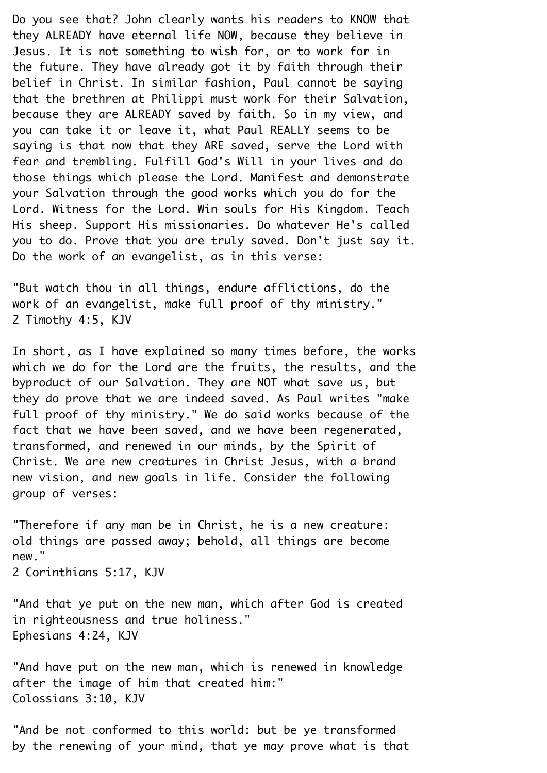Do you see that? John clearly wants his readers to KNOW that they ALREADY have eternal life NOW, because they believe in¬ Jesus. It is not something to wish for, or to work for in the future. They have already got it by faith through their belief in Christ. In similar fashion, Paul cannot be saying that the brethren at Philippi must work for their Salvation, because they are ALREADY saved by faith. So in my view, and you can take it or leave it, what Paul REALLY seems to be saying is that now that they ARE saved, serve the Lord with fear and trembling. Fulfill God's Will in your lives and do those things which please the Lord. Manifest and demonstrate your Salvation through the good works which you do for the¬ Lord. Witness for the Lord. Win souls for His Kingdom. Teach¬ His sheep. Support His missionaries. Do whatever He's called you to do. Prove that you are truly saved. Don't just say it. Do the work of an evangelist, as in this verse:

"But watch thou in all things, endure afflictions, do the work of an evangelist, make full proof of thy ministry." 2 Timothy 4:5, KJV¬

In short, as I have explained so many times before, the works which we do for the Lord are the fruits, the results, and the byproduct of our Salvation. They are NOT what save us, but they do prove that we are indeed saved. As Paul writes "make full proof of thy ministry." We do said works because of the fact that we have been saved, and we have been regenerated, transformed, and renewed in our minds, by the Spirit of¬ Christ. We are new creatures in Christ Jesus, with a brand new vision, and new goals in life. Consider the following group of verses:¬

"Therefore if any man be in Christ, he is a new creature: old things are passed away; behold, all things are become new."

2 Corinthians 5:17, KJV¬

"And that ye put on the new man, which after God is created in righteousness and true holiness." Ephesians 4:24, KJV¬

"And have put on the new man, which is renewed in knowledge after the image of him that created him:" Colossians 3:10, KJV¬

"And be not conformed to this world: but be ye transformed by the renewing of your mind, that ye may prove what is that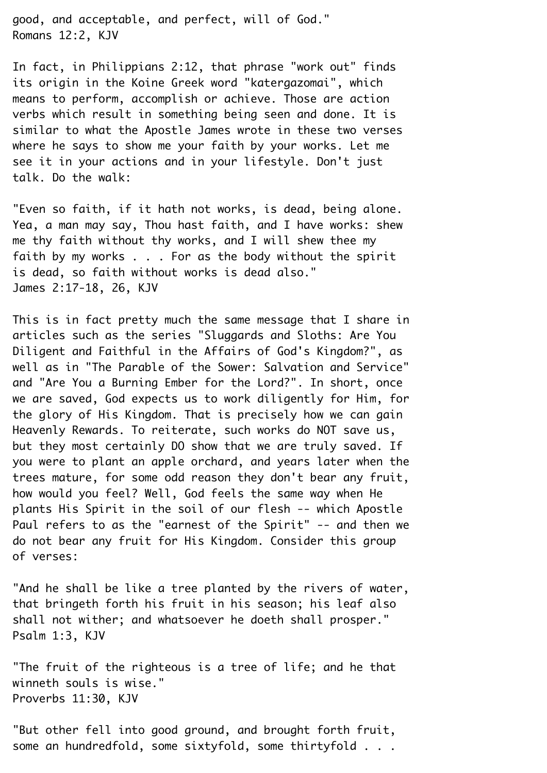good, and acceptable, and perfect, will of God."¬ Romans 12:2, KJV¬

In fact, in Philippians 2:12, that phrase "work out" finds its origin in the Koine Greek word "katergazomai", which means to perform, accomplish or achieve. Those are action verbs which result in something being seen and done. It is similar to what the Apostle James wrote in these two verses where he says to show me your faith by your works. Let me see it in your actions and in your lifestyle. Don't just talk. Do the walk:¬

"Even so faith, if it hath not works, is dead, being alone.¬ Yea, a man may say, Thou hast faith, and I have works: shew me thy faith without thy works, and I will shew thee my faith by my works  $\ldots$ . For as the body without the spirit is dead, so faith without works is dead also."¬ James 2:17-18, 26, KJV¬

This is in fact pretty much the same message that I share in articles such as the series "Sluggards and Sloths: Are You¬ Diligent and Faithful in the Affairs of God's Kingdom?", as well as in "The Parable of the Sower: Salvation and Service" and "Are You a Burning Ember for the Lord?". In short, once we are saved, God expects us to work diligently for Him, for the glory of His Kingdom. That is precisely how we can gain¬ Heavenly Rewards. To reiterate, such works do NOT save us, but they most certainly DO show that we are truly saved. If you were to plant an apple orchard, and years later when the trees mature, for some odd reason they don't bear any fruit, how would you feel? Well, God feels the same way when He plants His Spirit in the soil of our flesh -- which Apostle¬ Paul refers to as the "earnest of the Spirit" -- and then we do not bear any fruit for His Kingdom. Consider this group of verses:¬

"And he shall be like a tree planted by the rivers of water, that bringeth forth his fruit in his season; his leaf also shall not wither; and whatsoever he doeth shall prosper." Psalm 1:3, KJV¬

"The fruit of the righteous is a tree of life; and he that winneth souls is wise." Proverbs 11:30, KJV¬

"But other fell into good ground, and brought forth fruit, some an hundredfold, some sixtyfold, some thirtyfold . . .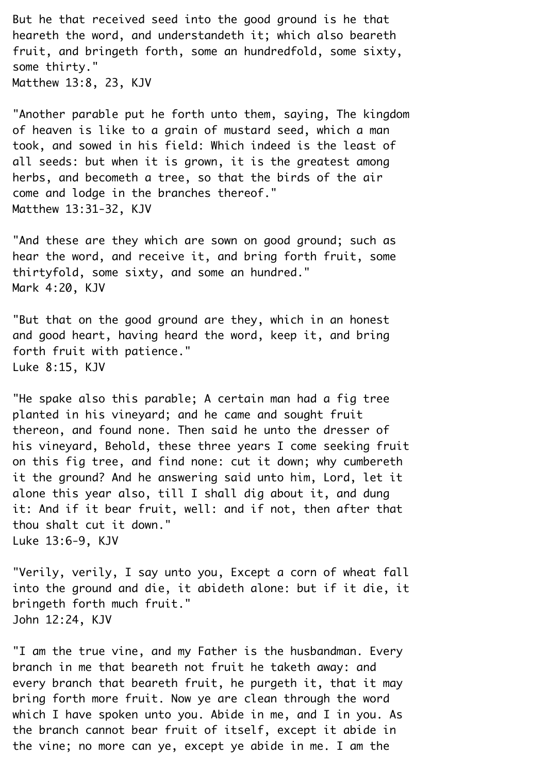But he that received seed into the good ground is he that heareth the word, and understandeth it; which also beareth fruit, and bringeth forth, some an hundredfold, some sixty, some thirty."¬ Matthew 13:8, 23, KJV¬

"Another parable put he forth unto them, saying, The kingdom of heaven is like to a grain of mustard seed, which a man took, and sowed in his field: Which indeed is the least of all seeds: but when it is grown, it is the greatest among herbs, and becometh a tree, so that the birds of the air come and lodge in the branches thereof." Matthew 13:31-32, KJV¬

"And these are they which are sown on good ground; such as hear the word, and receive it, and bring forth fruit, some thirtyfold, some sixty, and some an hundred."¬ Mark 4:20, KJV¬

"But that on the good ground are they, which in an honest and good heart, having heard the word, keep it, and bring forth fruit with patience." Luke 8:15, KJV¬

"He spake also this parable; A certain man had a fig tree planted in his vineyard; and he came and sought fruit thereon, and found none. Then said he unto the dresser of his vineyard, Behold, these three years I come seeking fruit on this fig tree, and find none: cut it down; why cumbereth it the ground? And he answering said unto him, Lord, let it alone this year also, till I shall dig about it, and dung it: And if it bear fruit, well: and if not, then after that thou shalt cut it down."¬ Luke 13:6-9, KJV¬

"Verily, verily, I say unto you, Except a corn of wheat fall into the ground and die, it abideth alone: but if it die, it bringeth forth much fruit."¬ John 12:24, KJV¬

"I am the true vine, and my Father is the husbandman. Every branch in me that beareth not fruit he taketh away: and every branch that beareth fruit, he purgeth it, that it may bring forth more fruit. Now ye are clean through the word which I have spoken unto you. Abide in me, and I in you. As the branch cannot bear fruit of itself, except it abide in the vine; no more can ye, except ye abide in me. I am the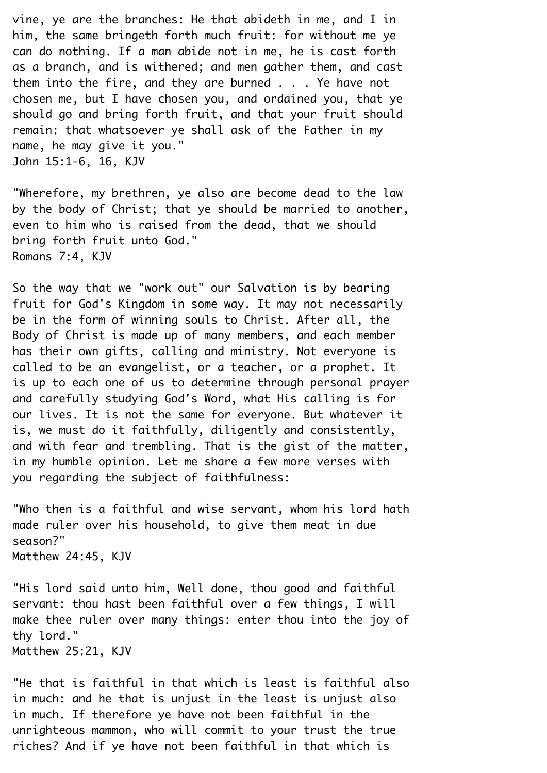vine, ye are the branches: He that abideth in me, and I in him, the same bringeth forth much fruit: for without me ye can do nothing. If a man abide not in me, he is cast forth as a branch, and is withered; and men gather them, and cast them into the fire, and they are burned  $\ldots$ . Ye have not chosen me, but I have chosen you, and ordained you, that ye should go and bring forth fruit, and that your fruit should remain: that whatsoever ye shall ask of the Father in my name, he may give it you." John 15:1-6, 16, KJV¬

"Wherefore, my brethren, ye also are become dead to the law by the body of Christ; that ye should be married to another, even to him who is raised from the dead, that we should bring forth fruit unto God."¬ Romans 7:4, KJV¬

So the way that we "work out" our Salvation is by bearing fruit for God's Kingdom in some way. It may not necessarily be in the form of winning souls to Christ. After all, the Body of Christ is made up of many members, and each member has their own gifts, calling and ministry. Not everyone is called to be an evangelist, or a teacher, or a prophet. It is up to each one of us to determine through personal prayer and carefully studying God's Word, what His calling is for our lives. It is not the same for everyone. But whatever it is, we must do it faithfully, diligently and consistently, and with fear and trembling. That is the gist of the matter, in my humble opinion. Let me share a few more verses with you regarding the subject of faithfulness:

"Who then is a faithful and wise servant, whom his lord hath made ruler over his household, to give them meat in due season?"¬ Matthew 24:45, KJV

"His lord said unto him, Well done, thou good and faithful servant: thou hast been faithful over a few things, I will make thee ruler over many things: enter thou into the joy of thy lord."¬

Matthew 25:21, KJV¬

"He that is faithful in that which is least is faithful also in much: and he that is unjust in the least is unjust also in much. If therefore ye have not been faithful in the unrighteous mammon, who will commit to your trust the true riches? And if ye have not been faithful in that which is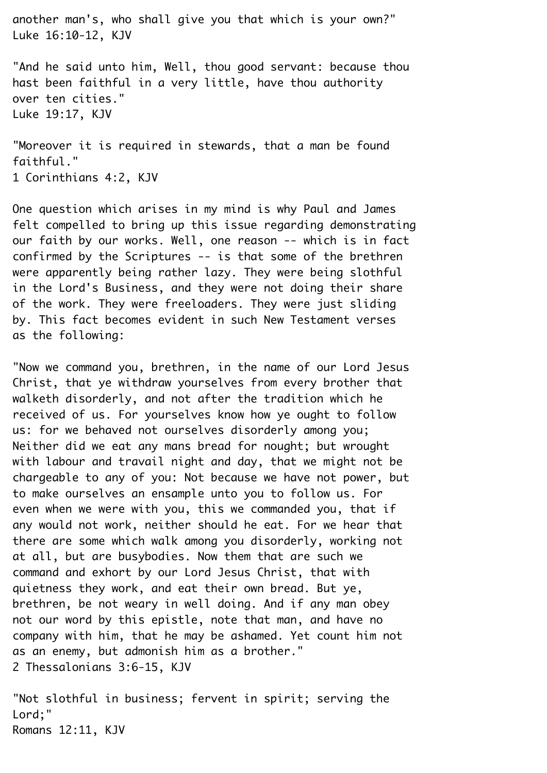another man's, who shall give you that which is your own?"¬ Luke 16:10-12, KJV¬

"And he said unto him, Well, thou good servant: because thou hast been faithful in a very little, have thou authority over ten cities."¬ Luke 19:17, KJV¬

"Moreover it is required in stewards, that a man be found faithful."¬ 1 Corinthians 4:2, KJV¬

One question which arises in my mind is why Paul and James felt compelled to bring up this issue regarding demonstrating our faith by our works. Well, one reason -- which is in fact confirmed by the Scriptures -- is that some of the brethren were apparently being rather lazy. They were being slothful in the Lord's Business, and they were not doing their share of the work. They were freeloaders. They were just sliding by. This fact becomes evident in such New Testament verses as the following:

"Now we command you, brethren, in the name of our Lord Jesus¬ Christ, that ye withdraw yourselves from every brother that walketh disorderly, and not after the tradition which he received of us. For yourselves know how ye ought to follow us: for we behaved not ourselves disorderly among you; Neither did we eat any mans bread for nought; but wrought with labour and travail night and day, that we might not be chargeable to any of you: Not because we have not power, but to make ourselves an ensample unto you to follow us. For even when we were with you, this we commanded you, that if any would not work, neither should he eat. For we hear that there are some which walk among you disorderly, working not at all, but are busybodies. Now them that are such we command and exhort by our Lord Jesus Christ, that with quietness they work, and eat their own bread. But ye, brethren, be not weary in well doing. And if any man obey not our word by this epistle, note that man, and have no company with him, that he may be ashamed. Yet count him not as an enemy, but admonish him as a brother." 2 Thessalonians 3:6-15, KJV¬

"Not slothful in business; fervent in spirit; serving the¬ Lord:" Romans 12:11, KJV¬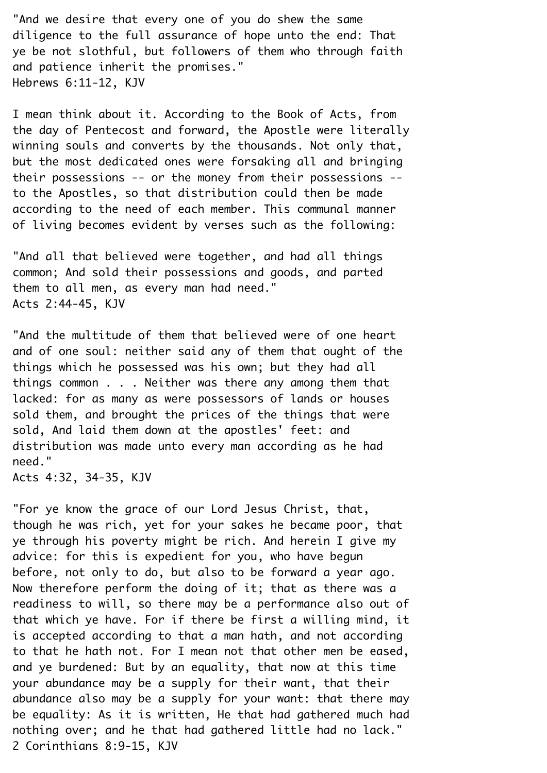"And we desire that every one of you do shew the same diligence to the full assurance of hope unto the end: That ye be not slothful, but followers of them who through faith and patience inherit the promises." Hebrews 6:11-12, KJV¬

I mean think about it. According to the Book of Acts, from the day of Pentecost and forward, the Apostle were literally winning souls and converts by the thousands. Not only that, but the most dedicated ones were forsaking all and bringing their possessions -- or the money from their possessions -to the Apostles, so that distribution could then be made according to the need of each member. This communal manner of living becomes evident by verses such as the following:

"And all that believed were together, and had all things common; And sold their possessions and goods, and parted them to all men, as every man had need."¬ Acts 2:44-45, KJV¬

"And the multitude of them that believed were of one heart and of one soul: neither said any of them that ought of the things which he possessed was his own; but they had all things common . . . Neither was there any among them that lacked: for as many as were possessors of lands or houses sold them, and brought the prices of the things that were sold, And laid them down at the apostles' feet: and distribution was made unto every man according as he had need."¬

Acts 4:32, 34-35, KJV¬

"For ye know the grace of our Lord Jesus Christ, that, though he was rich, yet for your sakes he became poor, that ye through his poverty might be rich. And herein I give my advice: for this is expedient for you, who have begun before, not only to do, but also to be forward a year ago.¬ Now therefore perform the doing of it; that as there was a readiness to will, so there may be a performance also out of that which ye have. For if there be first a willing mind, it is accepted according to that a man hath, and not according to that he hath not. For I mean not that other men be eased, and ye burdened: But by an equality, that now at this time your abundance may be a supply for their want, that their abundance also may be a supply for your want: that there may be equality: As it is written, He that had gathered much had nothing over; and he that had gathered little had no lack."¬ 2 Corinthians 8:9-15, KJV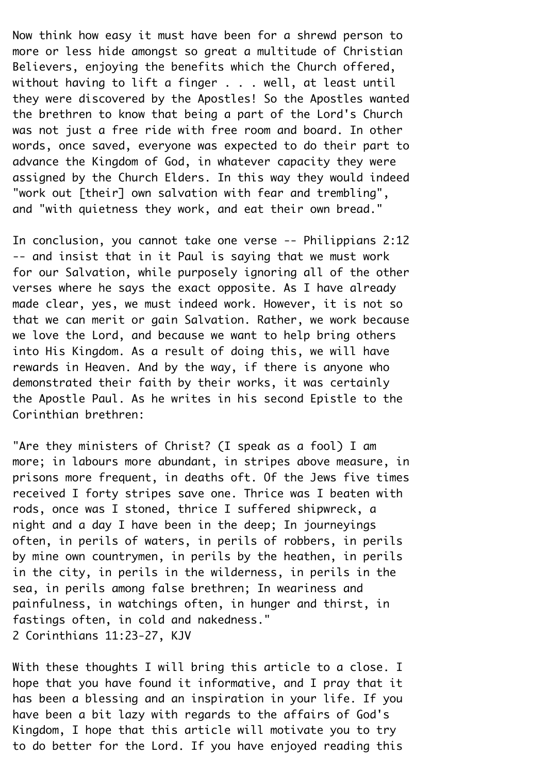Now think how easy it must have been for a shrewd person to more or less hide amongst so great a multitude of Christian¬ Believers, enjoying the benefits which the Church offered, without having to lift a finger  $\ldots$  well, at least until they were discovered by the Apostles! So the Apostles wanted the brethren to know that being a part of the Lord's Church was not just a free ride with free room and board. In other words, once saved, everyone was expected to do their part to advance the Kingdom of God, in whatever capacity they were assigned by the Church Elders. In this way they would indeed¬ "work out [their] own salvation with fear and trembling", and "with quietness they work, and eat their own bread."

In conclusion, you cannot take one verse -- Philippians 2:12¬ -- and insist that in it Paul is saying that we must work for our Salvation, while purposely ignoring all of the other verses where he says the exact opposite. As I have already made clear, yes, we must indeed work. However, it is not so that we can merit or gain Salvation. Rather, we work because we love the Lord, and because we want to help bring others into His Kingdom. As a result of doing this, we will have rewards in Heaven. And by the way, if there is anyone who demonstrated their faith by their works, it was certainly the Apostle Paul. As he writes in his second Epistle to the¬ Corinthian brethren:¬

"Are they ministers of Christ? (I speak as a fool) I am more; in labours more abundant, in stripes above measure, in prisons more frequent, in deaths oft. Of the Jews five times received I forty stripes save one. Thrice was I beaten with rods, once was I stoned, thrice I suffered shipwreck, a night and a day I have been in the deep; In journeyings often, in perils of waters, in perils of robbers, in perils by mine own countrymen, in perils by the heathen, in perils in the city, in perils in the wilderness, in perils in the sea, in perils among false brethren; In weariness and painfulness, in watchings often, in hunger and thirst, in fastings often, in cold and nakedness." 2 Corinthians 11:23-27, KJV¬

With these thoughts I will bring this article to a close. I hope that you have found it informative, and I pray that it has been a blessing and an inspiration in your life. If you have been a bit lazy with regards to the affairs of God's¬ Kingdom, I hope that this article will motivate you to try to do better for the Lord. If you have enjoyed reading this